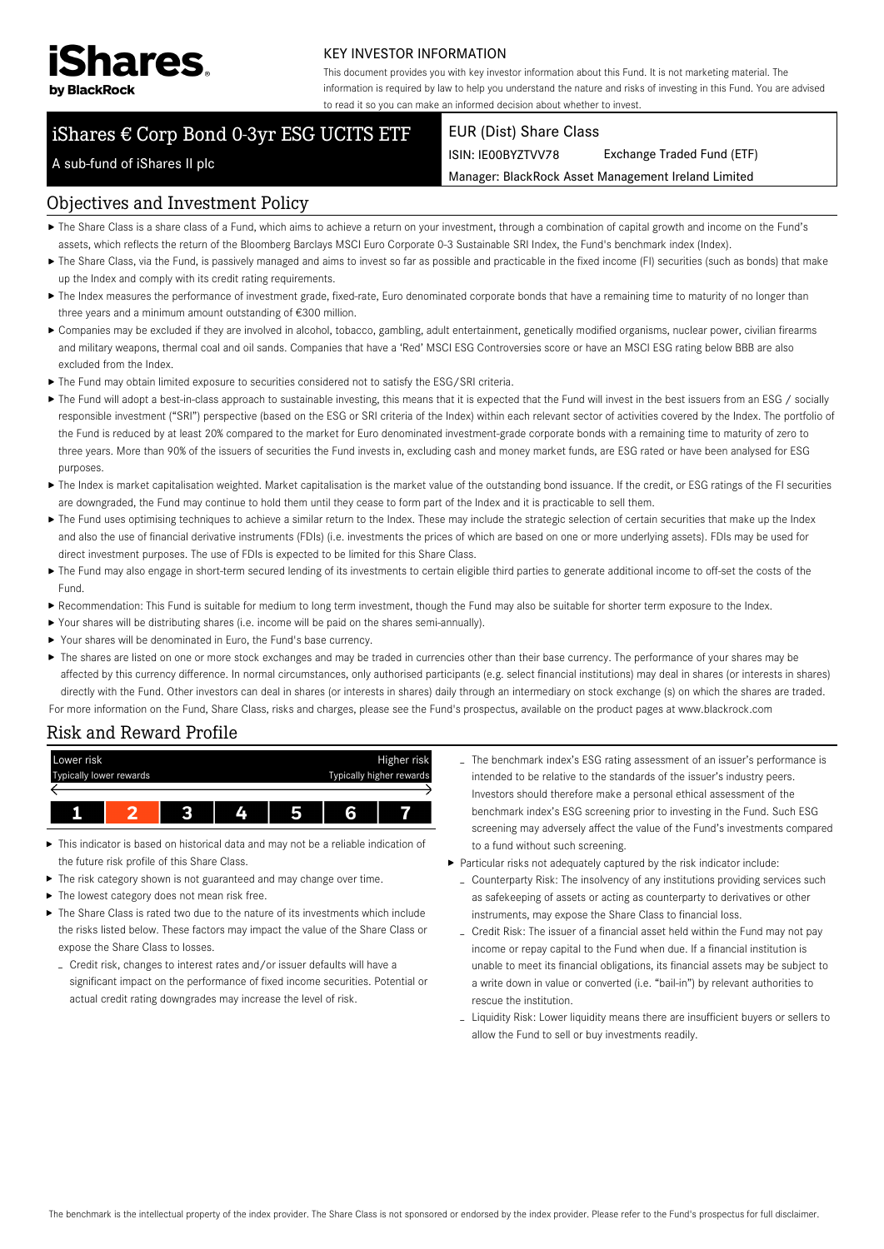

### KEY INVESTOR INFORMATION

This document provides you with key investor information about this Fund. It is not marketing material. The information is required by law to help you understand the nature and risks of investing in this Fund. You are advised to read it so you can make an informed decision about whether to invest.

Manager: BlackRock Asset Management Ireland Limited

# iShares € Corp Bond 0-3yr ESG UCITS ETF

#### EUR (Dist) Share Class

ISIN: IE00BYZTVV78 Exchange Traded Fund (ETF)

A sub-fund of iShares II plc

## Objectives and Investment Policy

- The Share Class is a share class of a Fund, which aims to achieve a return on your investment, through a combination of capital growth and income on the Fund's assets, which reflects the return of the Bloomberg Barclays MSCI Euro Corporate 0-3 Sustainable SRI Index, the Fund's benchmark index (Index).
- ▶ The Share Class, via the Fund, is passively managed and aims to invest so far as possible and practicable in the fixed income (FI) securities (such as bonds) that make up the Index and comply with its credit rating requirements.
- ▶ The Index measures the performance of investment grade, fixed-rate, Euro denominated corporate bonds that have a remaining time to maturity of no longer than three years and a minimum amount outstanding of €300 million.
- Companies may be excluded if they are involved in alcohol, tobacco, gambling, adult entertainment, genetically modified organisms, nuclear power, civilian firearms and military weapons, thermal coal and oil sands. Companies that have a 'Red' MSCI ESG Controversies score or have an MSCI ESG rating below BBB are also excluded from the Index.
- The Fund may obtain limited exposure to securities considered not to satisfy the ESG/SRI criteria.
- ▶ The Fund will adopt a best-in-class approach to sustainable investing, this means that it is expected that the Fund will invest in the best issuers from an ESG / socially responsible investment ("SRI") perspective (based on the ESG or SRI criteria of the Index) within each relevant sector of activities covered by the Index. The portfolio of the Fund is reduced by at least 20% compared to the market for Euro denominated investment-grade corporate bonds with a remaining time to maturity of zero to three years. More than 90% of the issuers of securities the Fund invests in, excluding cash and money market funds, are ESG rated or have been analysed for ESG purposes.
- ▶ The Index is market capitalisation weighted. Market capitalisation is the market value of the outstanding bond issuance. If the credit, or ESG ratings of the FI securities are downgraded, the Fund may continue to hold them until they cease to form part of the Index and it is practicable to sell them.
- ▶ The Fund uses optimising techniques to achieve a similar return to the Index. These may include the strategic selection of certain securities that make up the Index and also the use of financial derivative instruments (FDIs) (i.e. investments the prices of which are based on one or more underlying assets). FDIs may be used for direct investment purposes. The use of FDIs is expected to be limited for this Share Class.
- ▶ The Fund may also engage in short-term secured lending of its investments to certain eligible third parties to generate additional income to off-set the costs of the Fund.
- Recommendation: This Fund is suitable for medium to long term investment, though the Fund may also be suitable for shorter term exposure to the Index.
- Your shares will be distributing shares (i.e. income will be paid on the shares semi-annually).
- Your shares will be denominated in Euro, the Fund's base currency.
- ▶ The shares are listed on one or more stock exchanges and may be traded in currencies other than their base currency. The performance of your shares may be affected by this currency difference. In normal circumstances, only authorised participants (e.g. select financial institutions) may deal in shares (or interests in shares) directly with the Fund. Other investors can deal in shares (or interests in shares) daily through an intermediary on stock exchange (s) on which the shares are traded. For more information on the Fund, Share Class, risks and charges, please see the Fund's prospectus, available on the product pages at www.blackrock.com

# Risk and Reward Profile



- This indicator is based on historical data and may not be a reliable indication of the future risk profile of this Share Class.
- The risk category shown is not guaranteed and may change over time.
- ▶ The lowest category does not mean risk free.
- ▶ The Share Class is rated two due to the nature of its investments which include the risks listed below. These factors may impact the value of the Share Class or expose the Share Class to losses.
	- Credit risk, changes to interest rates and/or issuer defaults will have a significant impact on the performance of fixed income securities. Potential or actual credit rating downgrades may increase the level of risk.
- The benchmark index's ESG rating assessment of an issuer's performance is intended to be relative to the standards of the issuer's industry peers. Investors should therefore make a personal ethical assessment of the benchmark index's ESG screening prior to investing in the Fund. Such ESG screening may adversely affect the value of the Fund's investments compared to a fund without such screening.
- Particular risks not adequately captured by the risk indicator include:
	- Counterparty Risk: The insolvency of any institutions providing services such as safekeeping of assets or acting as counterparty to derivatives or other instruments, may expose the Share Class to financial loss.
	- Credit Risk: The issuer of a financial asset held within the Fund may not pay income or repay capital to the Fund when due. If a financial institution is unable to meet its financial obligations, its financial assets may be subject to a write down in value or converted (i.e. "bail-in") by relevant authorities to rescue the institution.
	- Liquidity Risk: Lower liquidity means there are insufficient buyers or sellers to allow the Fund to sell or buy investments readily.